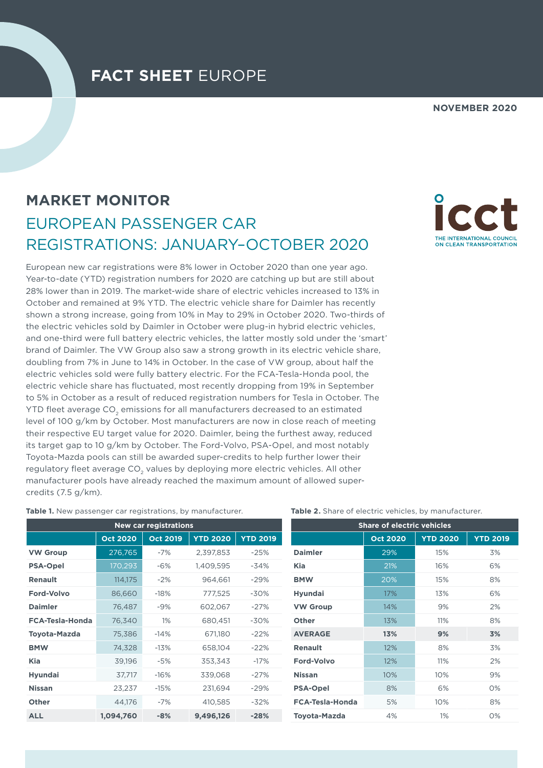## **FACT SHEET** EUROPE

**NOVEMBER 2020**

# **MARKET MONITOR** EUROPEAN PASSENGER CAR REGISTRATIONS: JANUARY–OCTOBER 2020

European new car registrations were 8% lower in October 2020 than one year ago. Year-to-date (YTD) registration numbers for 2020 are catching up but are still about 28% lower than in 2019. The market-wide share of electric vehicles increased to 13% in October and remained at 9% YTD. The electric vehicle share for Daimler has recently shown a strong increase, going from 10% in May to 29% in October 2020. Two-thirds of the electric vehicles sold by Daimler in October were plug-in hybrid electric vehicles, and one-third were full battery electric vehicles, the latter mostly sold under the 'smart' brand of Daimler. The VW Group also saw a strong growth in its electric vehicle share, doubling from 7% in June to 14% in October. In the case of VW group, about half the electric vehicles sold were fully battery electric. For the FCA-Tesla-Honda pool, the electric vehicle share has fluctuated, most recently dropping from 19% in September to 5% in October as a result of reduced registration numbers for Tesla in October. The YTD fleet average CO<sub>2</sub> emissions for all manufacturers decreased to an estimated level of 100 g/km by October. Most manufacturers are now in close reach of meeting their respective EU target value for 2020. Daimler, being the furthest away, reduced its target gap to 10 g/km by October. The Ford-Volvo, PSA-Opel, and most notably Toyota-Mazda pools can still be awarded super-credits to help further lower their regulatory fleet average CO<sub>2</sub> values by deploying more electric vehicles. All other manufacturer pools have already reached the maximum amount of allowed supercredits (7.5 g/km).

#### **Table 1.** New passenger car registrations, by manufacturer.

| <b>New car registrations</b> |                 |                 |                 |                 |  |  |  |
|------------------------------|-----------------|-----------------|-----------------|-----------------|--|--|--|
|                              | <b>Oct 2020</b> | <b>Oct 2019</b> | <b>YTD 2020</b> | <b>YTD 2019</b> |  |  |  |
| <b>VW Group</b>              | 276,765         | $-7%$           | 2,397,853       | $-25%$          |  |  |  |
| <b>PSA-Opel</b>              | 170,293         | $-6\%$          | 1,409,595       | $-34%$          |  |  |  |
| <b>Renault</b>               | 114,175         | $-2\%$          | 964,661         | $-29%$          |  |  |  |
| <b>Ford-Volvo</b>            | 86,660          | $-18%$          | 777,525         | -30%            |  |  |  |
| <b>Daimler</b>               | 76,487          | $-9%$           | 602,067         | $-27%$          |  |  |  |
| <b>FCA-Tesla-Honda</b>       | 76,340          | 1%              | 680,451         | $-30%$          |  |  |  |
| Toyota-Mazda                 | 75,386          | -14%            | 671,180         | $-22%$          |  |  |  |
| <b>BMW</b>                   | 74,328          | $-13%$          | 658,104         | $-22%$          |  |  |  |
| Kia                          | 39,196          | -5%             | 353,343         | $-17%$          |  |  |  |
| <b>Hyundai</b>               | 37,717          | $-16%$          | 339,068         | $-27%$          |  |  |  |
| <b>Nissan</b>                | 23,237          | $-15%$          | 231,694         | $-29%$          |  |  |  |
| Other                        | 44,176          | $-7%$           | 410,585         | $-32%$          |  |  |  |
| <b>ALL</b>                   | 1,094,760       | $-8%$           | 9,496,126       | $-28%$          |  |  |  |

**Table 2.** Share of electric vehicles, by manufacturer.

| <b>Share of electric vehicles</b> |                 |                 |                 |  |  |
|-----------------------------------|-----------------|-----------------|-----------------|--|--|
|                                   | <b>Oct 2020</b> | <b>YTD 2020</b> | <b>YTD 2019</b> |  |  |
| <b>Daimler</b>                    | 29%             | 15%             | 3%              |  |  |
| <b>Kia</b>                        | 21%             | 16%             | 6%              |  |  |
| <b>BMW</b>                        | 20%             | 15%             | 8%              |  |  |
| <b>Hyundai</b>                    | 17%             | 13%             | 6%              |  |  |
| <b>VW Group</b>                   | 14%             | 9%              | 2%              |  |  |
| <b>Other</b>                      | 13%             | 11%             | 8%              |  |  |
| <b>AVERAGE</b>                    | 13%             | 9%              | 3%              |  |  |
| <b>Renault</b>                    | 12%             | 8%              | 3%              |  |  |
| <b>Ford-Volvo</b>                 | 12%             | 11%             | 2%              |  |  |
| <b>Nissan</b>                     | 10%             | 10%             | 9%              |  |  |
| <b>PSA-Opel</b>                   | 8%              | 6%              | 0%              |  |  |
| <b>FCA-Tesla-Honda</b>            | 5%              | 10%             | 8%              |  |  |
| <b>Toyota-Mazda</b>               | 4%              | 1%              | $O\%$           |  |  |

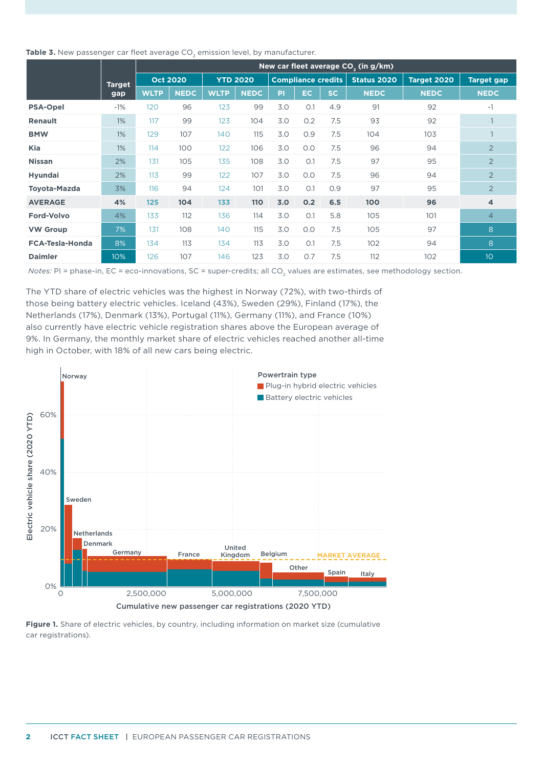| Table 3. New passenger car fleet average CO <sub>2</sub> emission level, by manufacturer. |  |
|-------------------------------------------------------------------------------------------|--|
|-------------------------------------------------------------------------------------------|--|

|                        |               | New car fleet average $CO2$ (in g/km) |             |                 |     |                           |           |             |             |                   |                         |
|------------------------|---------------|---------------------------------------|-------------|-----------------|-----|---------------------------|-----------|-------------|-------------|-------------------|-------------------------|
|                        | <b>Target</b> | <b>Oct 2020</b>                       |             | <b>YTD 2020</b> |     | <b>Compliance credits</b> |           | Status 2020 | Target 2020 | <b>Target gap</b> |                         |
| gap                    | <b>WLTP</b>   | <b>NEDC</b>                           | <b>WLTP</b> | <b>NEDC</b>     | PI  | EC.                       | <b>SC</b> | <b>NEDC</b> | <b>NEDC</b> | <b>NEDC</b>       |                         |
| <b>PSA-Opel</b>        | $-1%$         | 120                                   | 96          | 123             | 99  | 3.0                       | O.1       | 4.9         | 91          | 92                | $-1$                    |
| <b>Renault</b>         | 1%            | 117                                   | 99          | 123             | 104 | 3.0                       | 0.2       | 7.5         | 93          | 92                |                         |
| <b>BMW</b>             | 1%            | 129                                   | 107         | 140             | 115 | 3.0                       | O.9       | 7.5         | 104         | 103               |                         |
| Kia                    | $1\%$         | 114                                   | 100         | 122             | 106 | 3.0                       | O.O       | 7.5         | 96          | 94                | $\overline{2}$          |
| <b>Nissan</b>          | 2%            | 131                                   | 105         | 135             | 108 | 3.0                       | O.1       | 7.5         | 97          | 95                | $\overline{2}$          |
| <b>Hyundai</b>         | 2%            | 113                                   | 99          | 122             | 107 | 3.0                       | O.O       | 7.5         | 96          | 94                | 2                       |
| <b>Toyota-Mazda</b>    | 3%            | 116                                   | 94          | 124             | 101 | 3.0                       | O.1       | 0.9         | 97          | 95                | $\overline{2}$          |
| <b>AVERAGE</b>         | 4%            | 125                                   | 104         | 133             | 110 | 3.0                       | 0.2       | 6.5         | 100         | 96                | $\overline{\mathbf{4}}$ |
| <b>Ford-Volvo</b>      | 4%            | 133                                   | 112         | 136             | 114 | 3.0                       | O.1       | 5.8         | 105         | 101               | $\overline{4}$          |
| <b>VW Group</b>        | 7%            | 131                                   | 108         | 140             | 115 | 3.0                       | O.O       | 7.5         | 105         | 97                | 8                       |
| <b>FCA-Tesla-Honda</b> | 8%            | 134                                   | 113         | 134             | 113 | 3.0                       | O.1       | 7.5         | 102         | 94                | 8                       |
| <b>Daimler</b>         | 10%           | 126                                   | 107         | 146             | 123 | 3.0                       | 0.7       | 7.5         | 112         | 102               | 10                      |

*Notes: PI = phase-in, EC = eco-innovations, SC = super-credits; all CO<sub>2</sub> values are estimates, see methodology section.* 

The YTD share of electric vehicles was the highest in Norway (72%), with two-thirds of those being battery electric vehicles. Iceland (43%), Sweden (29%), Finland (17%), the Netherlands (17%), Denmark (13%), Portugal (11%), Germany (11%), and France (10%) also currently have electric vehicle registration shares above the European average of 9%. In Germany, the monthly market share of electric vehicles reached another all-time high in October, with 18% of all new cars being electric.



**Figure 1.** Share of electric vehicles, by country, including information on market size (cumulative car registrations).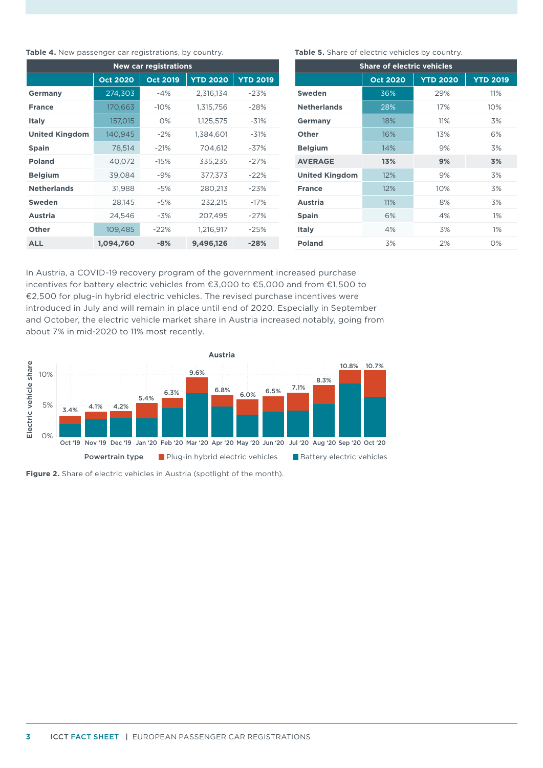#### Table 4. New passenger car registrations, by country.

| <b>New car registrations</b> |                 |                 |                 |                 |  |  |  |
|------------------------------|-----------------|-----------------|-----------------|-----------------|--|--|--|
|                              | <b>Oct 2020</b> | <b>Oct 2019</b> | <b>YTD 2020</b> | <b>YTD 2019</b> |  |  |  |
| Germany                      | 274,303         | $-4%$           | 2,316,134       | $-23%$          |  |  |  |
| <b>France</b>                | 170,663         | $-10%$          | 1,315,756       | $-28%$          |  |  |  |
| <b>Italy</b>                 | 157,015         | $O\%$           | 1,125,575       | $-31%$          |  |  |  |
| <b>United Kingdom</b>        | 140,945         | $-2%$           | 1,384,601       | $-31%$          |  |  |  |
| <b>Spain</b>                 | 78,514          | $-21%$          | 704.612         | $-37%$          |  |  |  |
| <b>Poland</b>                | 40,072          | $-15%$          | 335,235         | $-27%$          |  |  |  |
| <b>Belgium</b>               | 39,084          | $-9%$           | 377,373         | $-22%$          |  |  |  |
| <b>Netherlands</b>           | 31,988          | $-5%$           | 280,213         | $-23%$          |  |  |  |
| <b>Sweden</b>                | 28,145          | $-5%$           | 232,215         | $-17%$          |  |  |  |
| <b>Austria</b>               | 24,546          | $-3%$           | 207,495         | $-27%$          |  |  |  |
| Other                        | 109,485         | $-22%$          | 1,216,917       | $-25%$          |  |  |  |
| <b>ALL</b>                   | 1,094,760       | $-8%$           | 9,496,126       | $-28%$          |  |  |  |

#### Table 5. Share of electric vehicles by country.

| <b>Share of electric vehicles</b> |                 |                 |                 |  |  |  |
|-----------------------------------|-----------------|-----------------|-----------------|--|--|--|
|                                   | <b>Oct 2020</b> | <b>YTD 2020</b> | <b>YTD 2019</b> |  |  |  |
| Sweden                            | 36%             | 29%             | 11%             |  |  |  |
| <b>Netherlands</b>                | 28%             | 17%             | 10%             |  |  |  |
| Germany                           | 18%             | 11%             | 3%              |  |  |  |
| Other                             | 16%             | 13%             | 6%              |  |  |  |
| <b>Belgium</b>                    | 14%             | 9%              | 3%              |  |  |  |
| <b>AVERAGE</b>                    | 13%             | 9%              | 3%              |  |  |  |
| <b>United Kingdom</b>             | 12%             | 9%              | 3%              |  |  |  |
| <b>France</b>                     | 12%             | 10%             | 3%              |  |  |  |
| <b>Austria</b>                    | 11%             | 8%              | 3%              |  |  |  |
| <b>Spain</b>                      | 6%              | 4%              | $1\%$           |  |  |  |
| <b>Italy</b>                      | 4%              | 3%              | $1\%$           |  |  |  |
| <b>Poland</b>                     | 3%              | 2%              | 0%              |  |  |  |

In Austria, a COVID-19 recovery program of the government increased purchase incentives for battery electric vehicles from €3,000 to €5,000 and from €1,500 to €2,500 for plug-in hybrid electric vehicles. The revised purchase incentives were introduced in July and will remain in place until end of 2020. Especially in September and October, the electric vehicle market share in Austria increased notably, going from about 7% in mid-2020 to 11% most recently.